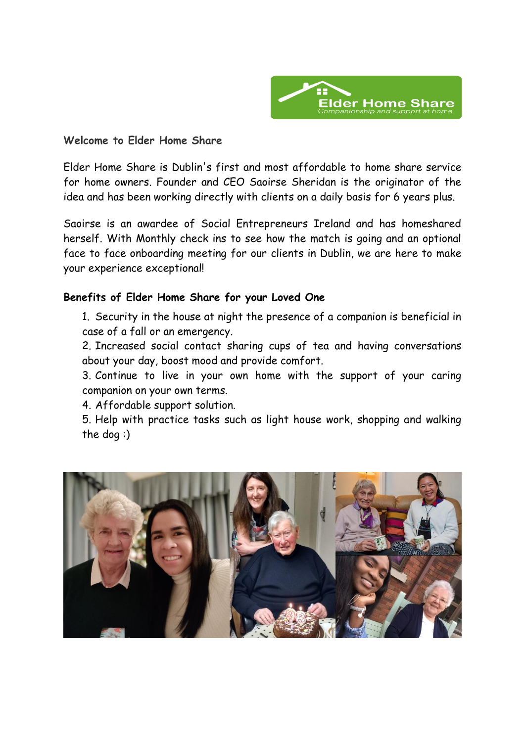

### **Welcome to Elder Home Share**

Elder Home Share is Dublin's first and most affordable to home share service for home owners. Founder and CEO Saoirse Sheridan is the originator of the idea and has been working directly with clients on a daily basis for 6 years plus.

Saoirse is an awardee of Social Entrepreneurs Ireland and has homeshared herself. With Monthly check ins to see how the match is going and an optional face to face onboarding meeting for our clients in Dublin, we are here to make your experience exceptional!

## **Benefits of Elder Home Share for your Loved One**

1. Security in the house at night the presence of a companion is beneficial in case of a fall or an emergency.

2. Increased social contact sharing cups of tea and having conversations about your day, boost mood and provide comfort.

3. Continue to live in your own home with the support of your caring companion on your own terms.

4. Affordable support solution.

5. Help with practice tasks such as light house work, shopping and walking the dog :)

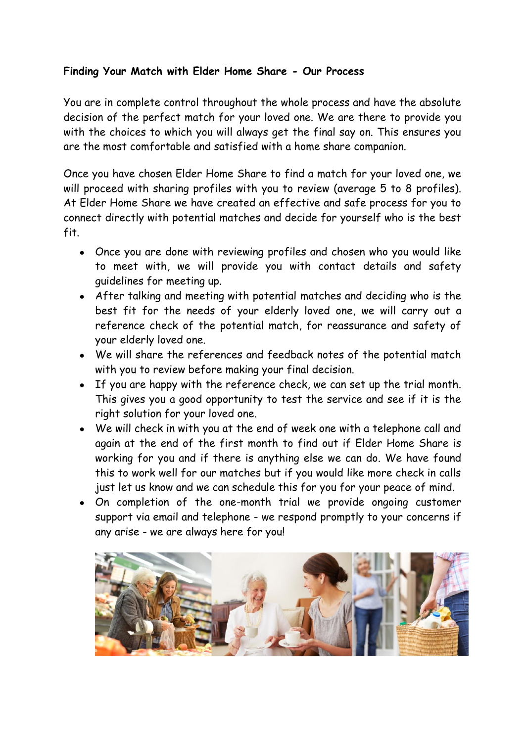# **Finding Your Match with Elder Home Share - Our Process**

You are in complete control throughout the whole process and have the absolute decision of the perfect match for your loved one. We are there to provide you with the choices to which you will always get the final say on. This ensures you are the most comfortable and satisfied with a home share companion.

Once you have chosen Elder Home Share to find a match for your loved one, we will proceed with sharing profiles with you to review (average 5 to 8 profiles). At Elder Home Share we have created an effective and safe process for you to connect directly with potential matches and decide for yourself who is the best fit.

- Once you are done with reviewing profiles and chosen who you would like to meet with, we will provide you with contact details and safety guidelines for meeting up.
- After talking and meeting with potential matches and deciding who is the best fit for the needs of your elderly loved one, we will carry out a reference check of the potential match, for reassurance and safety of your elderly loved one.
- We will share the references and feedback notes of the potential match with you to review before making your final decision.
- If you are happy with the reference check, we can set up the trial month. This gives you a good opportunity to test the service and see if it is the right solution for your loved one.
- We will check in with you at the end of week one with a telephone call and again at the end of the first month to find out if Elder Home Share is working for you and if there is anything else we can do. We have found this to work well for our matches but if you would like more check in calls just let us know and we can schedule this for you for your peace of mind.
- On completion of the one-month trial we provide ongoing customer support via email and telephone - we respond promptly to your concerns if any arise - we are always here for you!

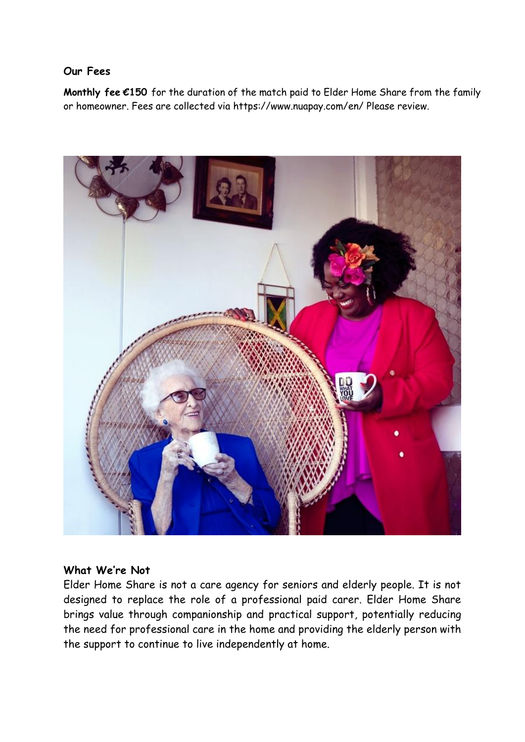### **Our Fees**

**Monthly fee €150** for the duration of the match paid to Elder Home Share from the family or homeowner. Fees are collected via https://www.nuapay.com/en/ Please review.



#### **What We're Not**

Elder Home Share is not a care agency for seniors and elderly people. It is not designed to replace the role of a professional paid carer. Elder Home Share brings value through companionship and practical support, potentially reducing the need for professional care in the home and providing the elderly person with the support to continue to live independently at home.